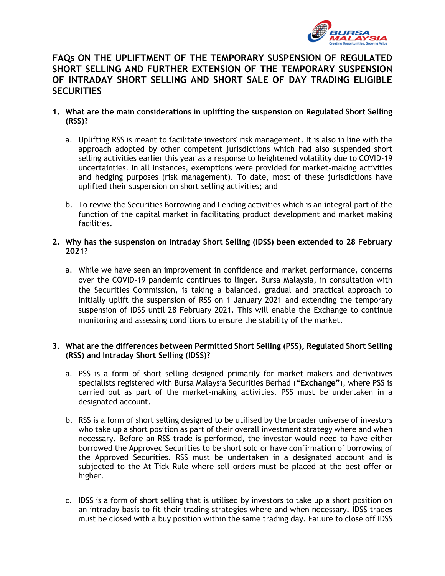

# **FAQs ON THE UPLIFTMENT OF THE TEMPORARY SUSPENSION OF REGULATED SHORT SELLING AND FURTHER EXTENSION OF THE TEMPORARY SUSPENSION OF INTRADAY SHORT SELLING AND SHORT SALE OF DAY TRADING ELIGIBLE SECURITIES**

### **1. What are the main considerations in uplifting the suspension on Regulated Short Selling (RSS)?**

- a. Uplifting RSS is meant to facilitate investors' risk management. It is also in line with the approach adopted by other competent jurisdictions which had also suspended short selling activities earlier this year as a response to heightened volatility due to COVID-19 uncertainties. In all instances, exemptions were provided for market-making activities and hedging purposes (risk management). To date, most of these jurisdictions have uplifted their suspension on short selling activities; and
- b. To revive the Securities Borrowing and Lending activities which is an integral part of the function of the capital market in facilitating product development and market making facilities.

# **2. Why has the suspension on Intraday Short Selling (IDSS) been extended to 28 February 2021?**

a. While we have seen an improvement in confidence and market performance, concerns over the COVID-19 pandemic continues to linger. Bursa Malaysia, in consultation with the Securities Commission, is taking a balanced, gradual and practical approach to initially uplift the suspension of RSS on 1 January 2021 and extending the temporary suspension of IDSS until 28 February 2021. This will enable the Exchange to continue monitoring and assessing conditions to ensure the stability of the market.

### **3. What are the differences between Permitted Short Selling (PSS), Regulated Short Selling (RSS) and Intraday Short Selling (IDSS)?**

- a. PSS is a form of short selling designed primarily for market makers and derivatives specialists registered with Bursa Malaysia Securities Berhad ("**Exchange**"), where PSS is carried out as part of the market-making activities. PSS must be undertaken in a designated account.
- b. RSS is a form of short selling designed to be utilised by the broader universe of investors who take up a short position as part of their overall investment strategy where and when necessary. Before an RSS trade is performed, the investor would need to have either borrowed the Approved Securities to be short sold or have confirmation of borrowing of the Approved Securities. RSS must be undertaken in a designated account and is subjected to the At-Tick Rule where sell orders must be placed at the best offer or higher.
- c. IDSS is a form of short selling that is utilised by investors to take up a short position on an intraday basis to fit their trading strategies where and when necessary. IDSS trades must be closed with a buy position within the same trading day. Failure to close off IDSS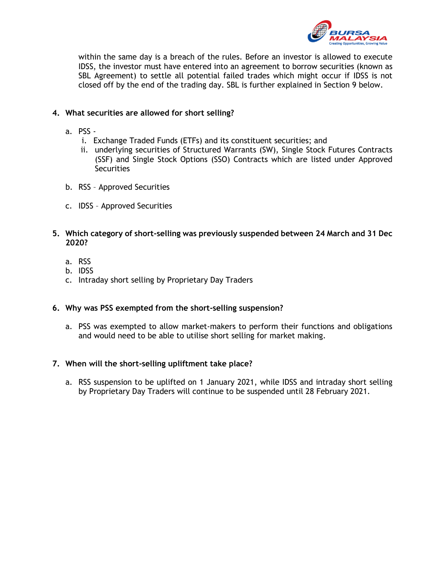

within the same day is a breach of the rules. Before an investor is allowed to execute IDSS, the investor must have entered into an agreement to borrow securities (known as SBL Agreement) to settle all potential failed trades which might occur if IDSS is not closed off by the end of the trading day. SBL is further explained in Section 9 below.

# **4. What securities are allowed for short selling?**

- a. PSS
	- i. Exchange Traded Funds (ETFs) and its constituent securities; and
	- ii. underlying securities of Structured Warrants (SW), Single Stock Futures Contracts (SSF) and Single Stock Options (SSO) Contracts which are listed under Approved **Securities**
- b. RSS Approved Securities
- c. IDSS Approved Securities
- **5. Which category of short-selling was previously suspended between 24 March and 31 Dec 2020?**
	- a. RSS
	- b. IDSS
	- c. Intraday short selling by Proprietary Day Traders

# **6. Why was PSS exempted from the short-selling suspension?**

a. PSS was exempted to allow market-makers to perform their functions and obligations and would need to be able to utilise short selling for market making.

# **7. When will the short-selling upliftment take place?**

a. RSS suspension to be uplifted on 1 January 2021, while IDSS and intraday short selling by Proprietary Day Traders will continue to be suspended until 28 February 2021.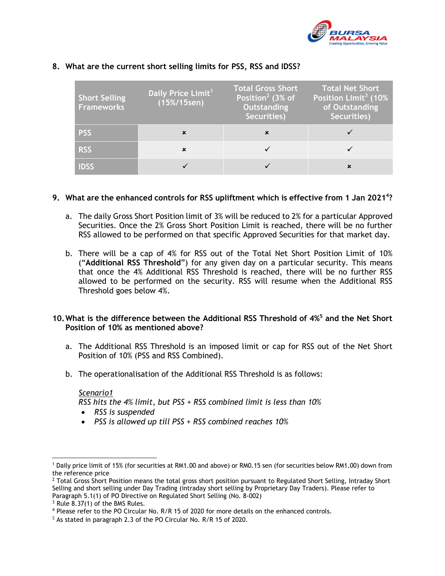

| <b>Short Selling</b><br><b>Frameworks</b> | Daily Price Limit <sup>11</sup><br>$(15\%/15$ sen) | <b>Total Gross Short</b><br>Position <sup>2</sup> (3% of<br>Outstanding<br>Securities) | <b>Total Net Short</b><br>Position Limit <sup>3</sup> (10%<br>of Outstanding<br>Securities) |
|-------------------------------------------|----------------------------------------------------|----------------------------------------------------------------------------------------|---------------------------------------------------------------------------------------------|
| <b>PSS</b>                                | x                                                  | ×                                                                                      |                                                                                             |
| <b>RSS</b>                                | x                                                  |                                                                                        |                                                                                             |
|                                           |                                                    |                                                                                        |                                                                                             |

### **8. What are the current short selling limits for PSS, RSS and IDSS?**

### **9. What are the enhanced controls for RSS upliftment which is effective from 1 Jan 2021<sup>4</sup> ?**

- a. The daily Gross Short Position limit of 3% will be reduced to 2% for a particular Approved Securities. Once the 2% Gross Short Position Limit is reached, there will be no further RSS allowed to be performed on that specific Approved Securities for that market day.
- b. There will be a cap of 4% for RSS out of the Total Net Short Position Limit of 10% ("**Additional RSS Threshold**") for any given day on a particular security. This means that once the 4% Additional RSS Threshold is reached, there will be no further RSS allowed to be performed on the security. RSS will resume when the Additional RSS Threshold goes below 4%.

# **10.What is the difference between the Additional RSS Threshold of 4%<sup>5</sup> and the Net Short Position of 10% as mentioned above?**

- a. The Additional RSS Threshold is an imposed limit or cap for RSS out of the Net Short Position of 10% (PSS and RSS Combined).
- b. The operationalisation of the Additional RSS Threshold is as follows:

#### *Scenario1*

*RSS hits the 4% limit, but PSS + RSS combined limit is less than 10%*

- *RSS is suspended*
- *PSS is allowed up till PSS + RSS combined reaches 10%*

<sup>1</sup> Daily price limit of 15% (for securities at RM1.00 and above) or RM0.15 sen (for securities below RM1.00) down from the reference price

 $2$  Total Gross Short Position means the total gross short position pursuant to Regulated Short Selling, Intraday Short Selling and short selling under Day Trading (intraday short selling by Proprietary Day Traders). Please refer to Paragraph 5.1(1) of PO Directive on Regulated Short Selling (No. 8-002)

<sup>3</sup> Rule 8.37(1) of the BMS Rules.

<sup>4</sup> Please refer to the PO Circular No. R/R 15 of 2020 for more details on the enhanced controls.

<sup>5</sup> As stated in paragraph 2.3 of the PO Circular No. R/R 15 of 2020.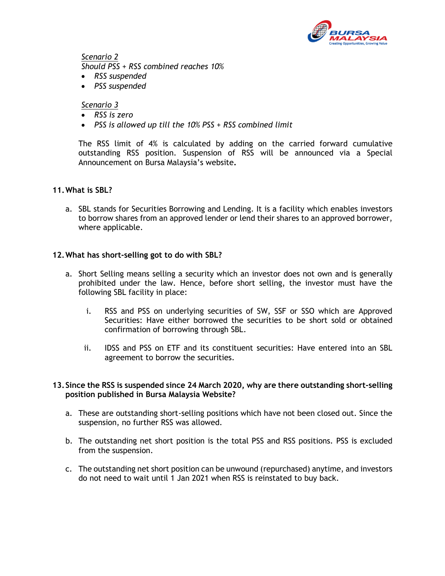

*Scenario 2 Should PSS + RSS combined reaches 10%*

- *RSS suspended*
- *PSS suspended*

#### *Scenario 3*

- *RSS is zero*
- *PSS is allowed up till the 10% PSS + RSS combined limit*

The RSS limit of 4% is calculated by adding on the carried forward cumulative outstanding RSS position. Suspension of RSS will be announced via a Special Announcement on Bursa Malaysia's website**.**

#### **11.What is SBL?**

a. SBL stands for Securities Borrowing and Lending. It is a facility which enables investors to borrow shares from an approved lender or lend their shares to an approved borrower, where applicable.

#### **12.What has short-selling got to do with SBL?**

- a. Short Selling means selling a security which an investor does not own and is generally prohibited under the law. Hence, before short selling, the investor must have the following SBL facility in place:
	- i. RSS and PSS on underlying securities of SW, SSF or SSO which are Approved Securities: Have either borrowed the securities to be short sold or obtained confirmation of borrowing through SBL.
	- ii. IDSS and PSS on ETF and its constituent securities: Have entered into an SBL agreement to borrow the securities.

### **13.Since the RSS is suspended since 24 March 2020, why are there outstanding short-selling position published in Bursa Malaysia Website?**

- a. These are outstanding short-selling positions which have not been closed out. Since the suspension, no further RSS was allowed.
- b. The outstanding net short position is the total PSS and RSS positions. PSS is excluded from the suspension.
- c. The outstanding net short position can be unwound (repurchased) anytime, and investors do not need to wait until 1 Jan 2021 when RSS is reinstated to buy back.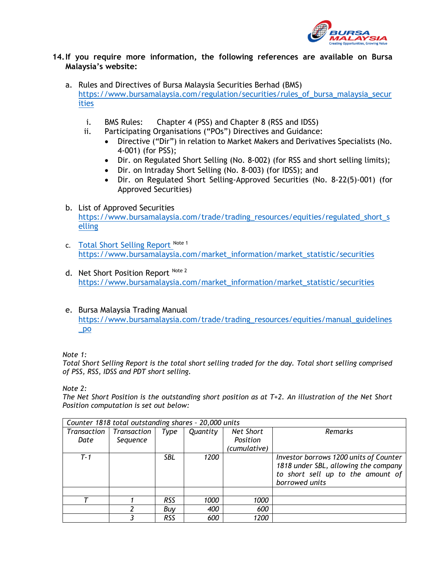

### **14.If you require more information, the following references are available on Bursa Malaysia's website:**

- a. Rules and Directives of Bursa Malaysia Securities Berhad (BMS) [https://www.bursamalaysia.com/regulation/securities/rules\\_of\\_bursa\\_malaysia\\_secur](https://www.bursamalaysia.com/regulation/securities/rules_of_bursa_malaysia_securities) [ities](https://www.bursamalaysia.com/regulation/securities/rules_of_bursa_malaysia_securities) 
	- i. BMS Rules: Chapter 4 (PSS) and Chapter 8 (RSS and IDSS)
	- ii. Participating Organisations ("POs") Directives and Guidance:
		- Directive ("Dir") in relation to Market Makers and Derivatives Specialists (No. 4-001) (for PSS);
		- Dir. on Regulated Short Selling (No. 8-002) (for RSS and short selling limits);
		- Dir. on Intraday Short Selling (No. 8-003) (for IDSS); and
		- Dir. on Regulated Short Selling-Approved Securities (No. 8-22(5)-001) (for Approved Securities)

### b. List of Approved Securities

[https://www.bursamalaysia.com/trade/trading\\_resources/equities/regulated\\_short\\_s](https://www.bursamalaysia.com/trade/trading_resources/equities/regulated_short_selling) [elling](https://www.bursamalaysia.com/trade/trading_resources/equities/regulated_short_selling)

- c. Total Short Selling Report Note 1 [https://www.bursamalaysia.com/market\\_information/market\\_statistic/securities](https://www.bursamalaysia.com/market_information/market_statistic/securities)
- d. Net Short Position Report Note 2 [https://www.bursamalaysia.com/market\\_information/market\\_statistic/securities](https://www.bursamalaysia.com/market_information/market_statistic/securities)
- e. Bursa Malaysia Trading Manual [https://www.bursamalaysia.com/trade/trading\\_resources/equities/manual\\_guidelines](https://www.bursamalaysia.com/trade/trading_resources/equities/manual_guidelines_po) [\\_po](https://www.bursamalaysia.com/trade/trading_resources/equities/manual_guidelines_po)

*Note 1:*

*Total Short Selling Report is the total short selling traded for the day. Total short selling comprised of PSS, RSS, IDSS and PDT short selling.* 

*Note 2:* 

*The Net Short Position is the outstanding short position as at T+2. An illustration of the Net Short Position computation is set out below:*

| Counter 1818 total outstanding shares - 20,000 units |             |            |          |              |                                        |  |  |
|------------------------------------------------------|-------------|------------|----------|--------------|----------------------------------------|--|--|
| Transaction                                          | Transaction | Type       | Quantity | Net Short    | Remarks                                |  |  |
| Date                                                 | Sequence    |            |          | Position     |                                        |  |  |
|                                                      |             |            |          | (cumulative) |                                        |  |  |
| $T - 1$                                              |             | SBL.       | 1200     |              | Investor borrows 1200 units of Counter |  |  |
|                                                      |             |            |          |              | 1818 under SBL, allowing the company   |  |  |
|                                                      |             |            |          |              | to short sell up to the amount of      |  |  |
|                                                      |             |            |          |              | borrowed units                         |  |  |
|                                                      |             |            |          |              |                                        |  |  |
|                                                      |             | <b>RSS</b> | 1000     | 1000         |                                        |  |  |
|                                                      |             | Buy        | 400      | 600          |                                        |  |  |
|                                                      |             | RSS        | 600      | 1200         |                                        |  |  |